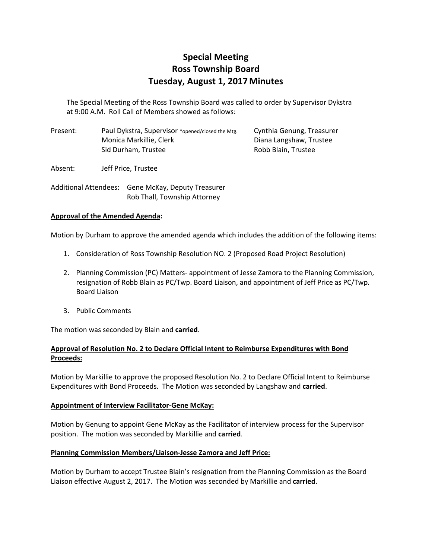# **Special Meeting Ross Township Board Tuesday, August 1, 2017Minutes**

The Special Meeting of the Ross Township Board was called to order by Supervisor Dykstra at 9:00 A.M. Roll Call of Members showed as follows:

| Present: | Paul Dykstra, Supervisor *opened/closed the Mtg. | Cynthia Genung, Treasurer |
|----------|--------------------------------------------------|---------------------------|
|          | Monica Markillie, Clerk                          | Diana Langshaw, Trustee   |
|          | Sid Durham, Trustee                              | Robb Blain. Trustee       |

Absent: Jeff Price, Trustee

Additional Attendees: Gene McKay, Deputy Treasurer Rob Thall, Township Attorney

### **Approval of the Amended Agenda:**

Motion by Durham to approve the amended agenda which includes the addition of the following items:

- 1. Consideration of Ross Township Resolution NO. 2 (Proposed Road Project Resolution)
- 2. Planning Commission (PC) Matters- appointment of Jesse Zamora to the Planning Commission, resignation of Robb Blain as PC/Twp. Board Liaison, and appointment of Jeff Price as PC/Twp. Board Liaison
- 3. Public Comments

The motion was seconded by Blain and **carried**.

## **Approval of Resolution No. 2 to Declare Official Intent to Reimburse Expenditures with Bond Proceeds:**

Motion by Markillie to approve the proposed Resolution No. 2 to Declare Official Intent to Reimburse Expenditures with Bond Proceeds. The Motion was seconded by Langshaw and **carried**.

## **Appointment of Interview Facilitator‐Gene McKay:**

Motion by Genung to appoint Gene McKay as the Facilitator of interview process for the Supervisor position. The motion was seconded by Markillie and **carried**.

## **Planning Commission Members/Liaison‐Jesse Zamora and Jeff Price:**

Motion by Durham to accept Trustee Blain's resignation from the Planning Commission as the Board Liaison effective August 2, 2017. The Motion was seconded by Markillie and **carried**.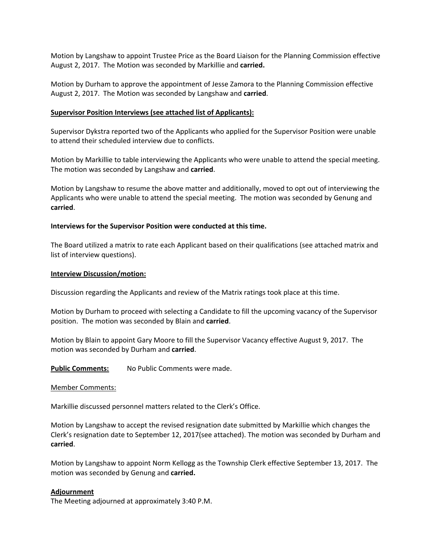Motion by Langshaw to appoint Trustee Price as the Board Liaison for the Planning Commission effective August 2, 2017. The Motion was seconded by Markillie and **carried.**

Motion by Durham to approve the appointment of Jesse Zamora to the Planning Commission effective August 2, 2017. The Motion was seconded by Langshaw and **carried**.

#### **Supervisor Position Interviews (see attached list of Applicants):**

Supervisor Dykstra reported two of the Applicants who applied for the Supervisor Position were unable to attend their scheduled interview due to conflicts.

Motion by Markillie to table interviewing the Applicants who were unable to attend the special meeting. The motion was seconded by Langshaw and **carried**.

Motion by Langshaw to resume the above matter and additionally, moved to opt out of interviewing the Applicants who were unable to attend the special meeting. The motion was seconded by Genung and **carried**.

#### **Interviews for the Supervisor Position were conducted at this time.**

The Board utilized a matrix to rate each Applicant based on their qualifications (see attached matrix and list of interview questions).

#### **Interview Discussion/motion:**

Discussion regarding the Applicants and review of the Matrix ratings took place at this time.

Motion by Durham to proceed with selecting a Candidate to fill the upcoming vacancy of the Supervisor position. The motion was seconded by Blain and **carried**.

Motion by Blain to appoint Gary Moore to fill the Supervisor Vacancy effective August 9, 2017. The motion was seconded by Durham and **carried**.

**Public Comments:** No Public Comments were made.

#### Member Comments:

Markillie discussed personnel matters related to the Clerk's Office.

Motion by Langshaw to accept the revised resignation date submitted by Markillie which changes the Clerk's resignation date to September 12, 2017(see attached). The motion was seconded by Durham and **carried**.

Motion by Langshaw to appoint Norm Kellogg as the Township Clerk effective September 13, 2017. The motion was seconded by Genung and **carried.**

#### **Adjournment**

The Meeting adjourned at approximately 3:40 P.M.